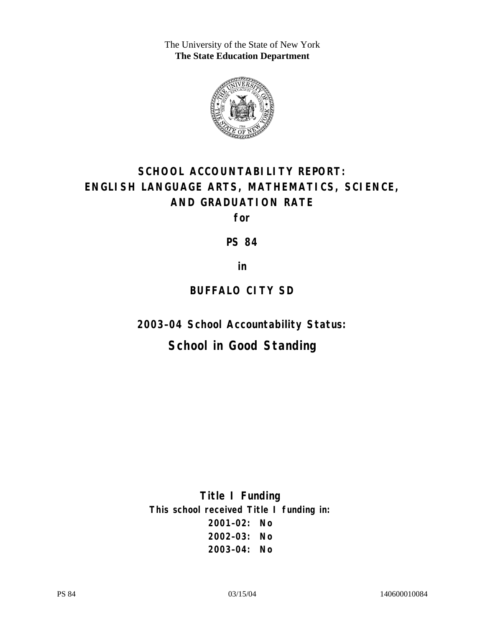The University of the State of New York **The State Education Department** 



# **SCHOOL ACCOUNTABILITY REPORT: ENGLISH LANGUAGE ARTS, MATHEMATICS, SCIENCE, AND GRADUATION RATE**

**for** 

**PS 84** 

**in** 

## **BUFFALO CITY SD**

**2003–04 School Accountability Status:** 

## **School in Good Standing**

**Title I Funding This school received Title I funding in: 2001–02: No 2002–03: No 2003–04: No**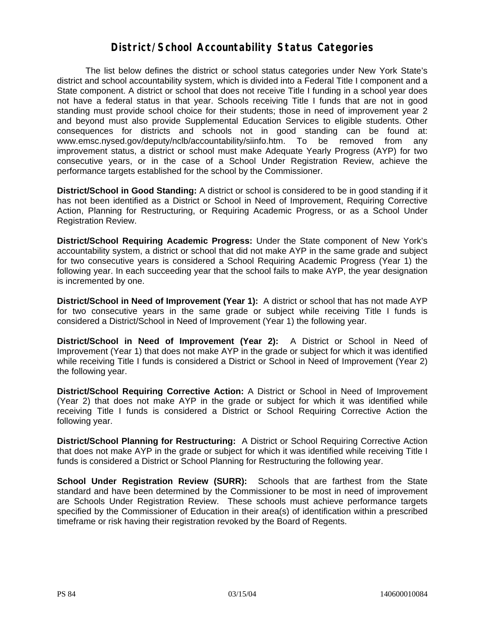### **District/School Accountability Status Categories**

The list below defines the district or school status categories under New York State's district and school accountability system, which is divided into a Federal Title I component and a State component. A district or school that does not receive Title I funding in a school year does not have a federal status in that year. Schools receiving Title I funds that are not in good standing must provide school choice for their students; those in need of improvement year 2 and beyond must also provide Supplemental Education Services to eligible students. Other consequences for districts and schools not in good standing can be found at: www.emsc.nysed.gov/deputy/nclb/accountability/siinfo.htm. To be removed from any improvement status, a district or school must make Adequate Yearly Progress (AYP) for two consecutive years, or in the case of a School Under Registration Review, achieve the performance targets established for the school by the Commissioner.

**District/School in Good Standing:** A district or school is considered to be in good standing if it has not been identified as a District or School in Need of Improvement, Requiring Corrective Action, Planning for Restructuring, or Requiring Academic Progress, or as a School Under Registration Review.

**District/School Requiring Academic Progress:** Under the State component of New York's accountability system, a district or school that did not make AYP in the same grade and subject for two consecutive years is considered a School Requiring Academic Progress (Year 1) the following year. In each succeeding year that the school fails to make AYP, the year designation is incremented by one.

**District/School in Need of Improvement (Year 1):** A district or school that has not made AYP for two consecutive years in the same grade or subject while receiving Title I funds is considered a District/School in Need of Improvement (Year 1) the following year.

**District/School in Need of Improvement (Year 2):** A District or School in Need of Improvement (Year 1) that does not make AYP in the grade or subject for which it was identified while receiving Title I funds is considered a District or School in Need of Improvement (Year 2) the following year.

**District/School Requiring Corrective Action:** A District or School in Need of Improvement (Year 2) that does not make AYP in the grade or subject for which it was identified while receiving Title I funds is considered a District or School Requiring Corrective Action the following year.

**District/School Planning for Restructuring:** A District or School Requiring Corrective Action that does not make AYP in the grade or subject for which it was identified while receiving Title I funds is considered a District or School Planning for Restructuring the following year.

**School Under Registration Review (SURR):** Schools that are farthest from the State standard and have been determined by the Commissioner to be most in need of improvement are Schools Under Registration Review. These schools must achieve performance targets specified by the Commissioner of Education in their area(s) of identification within a prescribed timeframe or risk having their registration revoked by the Board of Regents.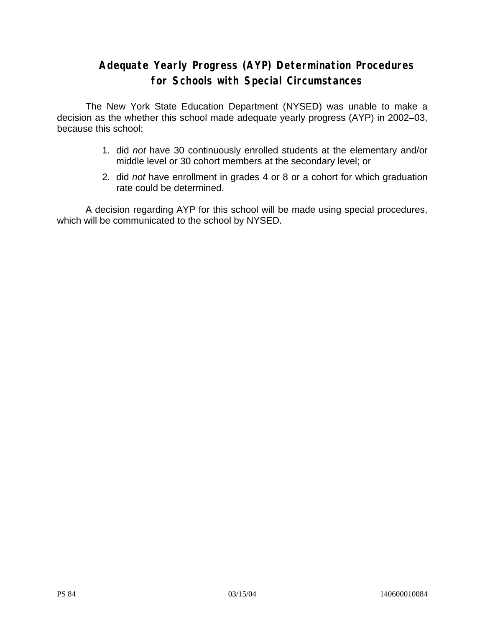## **Adequate Yearly Progress (AYP) Determination Procedures for Schools with Special Circumstances**

The New York State Education Department (NYSED) was unable to make a decision as the whether this school made adequate yearly progress (AYP) in 2002–03, because this school:

- 1. did *not* have 30 continuously enrolled students at the elementary and/or middle level or 30 cohort members at the secondary level; or
- 2. did *not* have enrollment in grades 4 or 8 or a cohort for which graduation rate could be determined.

A decision regarding AYP for this school will be made using special procedures, which will be communicated to the school by NYSED.